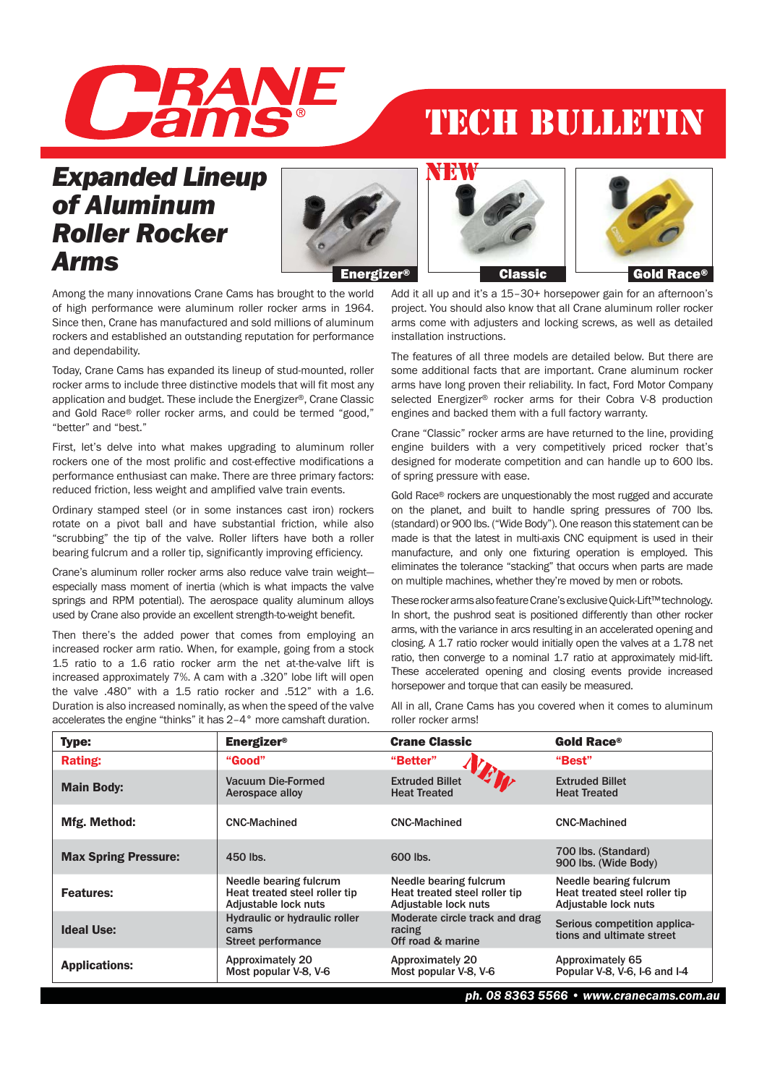

## TECH BULLETIN

## *Expanded Lineup of Aluminum Roller Rocker Arms*







Among the many innovations Crane Cams has brought to the world of high performance were aluminum roller rocker arms in 1964. Since then, Crane has manufactured and sold millions of aluminum rockers and established an outstanding reputation for performance and dependability.

Today, Crane Cams has expanded its lineup of stud-mounted, roller rocker arms to include three distinctive models that will fit most any application and budget. These include the Energizer®, Crane Classic and Gold Race® roller rocker arms, and could be termed "good," "better" and "best."

First, let's delve into what makes upgrading to aluminum roller rockers one of the most prolific and cost-effective modifications a performance enthusiast can make. There are three primary factors: reduced friction, less weight and amplified valve train events.

Ordinary stamped steel (or in some instances cast iron) rockers rotate on a pivot ball and have substantial friction, while also "scrubbing" the tip of the valve. Roller lifters have both a roller bearing fulcrum and a roller tip, significantly improving efficiency.

Crane's aluminum roller rocker arms also reduce valve train weight especially mass moment of inertia (which is what impacts the valve springs and RPM potential). The aerospace quality aluminum alloys used by Crane also provide an excellent strength-to-weight benefit.

Then there's the added power that comes from employing an increased rocker arm ratio. When, for example, going from a stock 1.5 ratio to a 1.6 ratio rocker arm the net at-the-valve lift is increased approximately 7%. A cam with a .320" lobe lift will open the valve .480" with a 1.5 ratio rocker and .512" with a 1.6. Duration is also increased nominally, as when the speed of the valve accelerates the engine "thinks" it has 2–4° more camshaft duration.

Add it all up and it's a 15–30+ horsepower gain for an afternoon's project. You should also know that all Crane aluminum roller rocker arms come with adjusters and locking screws, as well as detailed installation instructions.

The features of all three models are detailed below. But there are some additional facts that are important. Crane aluminum rocker arms have long proven their reliability. In fact, Ford Motor Company selected Energizer® rocker arms for their Cobra V-8 production engines and backed them with a full factory warranty.

Crane "Classic" rocker arms are have returned to the line, providing engine builders with a very competitively priced rocker that's designed for moderate competition and can handle up to 600 lbs. of spring pressure with ease.

Gold Race® rockers are unquestionably the most rugged and accurate on the planet, and built to handle spring pressures of 700 lbs. (standard) or 900 lbs. ("Wide Body"). One reason this statement can be made is that the latest in multi-axis CNC equipment is used in their manufacture, and only one fixturing operation is employed. This eliminates the tolerance "stacking" that occurs when parts are made on multiple machines, whether they're moved by men or robots.

These rocker arms also feature Crane's exclusive Quick-Lift™ technology. In short, the pushrod seat is positioned differently than other rocker arms, with the variance in arcs resulting in an accelerated opening and closing. A 1.7 ratio rocker would initially open the valves at a 1.78 net ratio, then converge to a nominal 1.7 ratio at approximately mid-lift. These accelerated opening and closing events provide increased horsepower and torque that can easily be measured.

All in all, Crane Cams has you covered when it comes to aluminum roller rocker arms!

| <b>Type:</b>                | <b>Energizer<sup>®</sup></b>                                                    | <b>Crane Classic</b>                                                            | <b>Gold Race®</b>                                                               |
|-----------------------------|---------------------------------------------------------------------------------|---------------------------------------------------------------------------------|---------------------------------------------------------------------------------|
| <b>Rating:</b>              | "Good"                                                                          | "Better"                                                                        | "Best"                                                                          |
| <b>Main Body:</b>           | Vacuum Die-Formed<br>Aerospace alloy                                            | <b>Extruded Billet</b><br><b>Heat Treated</b>                                   | <b>Extruded Billet</b><br><b>Heat Treated</b>                                   |
| Mfg. Method:                | <b>CNC-Machined</b>                                                             | <b>CNC-Machined</b>                                                             | <b>CNC-Machined</b>                                                             |
| <b>Max Spring Pressure:</b> | 450 lbs.                                                                        | 600 lbs.                                                                        | 700 lbs. (Standard)<br>900 lbs. (Wide Body)                                     |
| <b>Features:</b>            | Needle bearing fulcrum<br>Heat treated steel roller tip<br>Adjustable lock nuts | Needle bearing fulcrum<br>Heat treated steel roller tip<br>Adjustable lock nuts | Needle bearing fulcrum<br>Heat treated steel roller tip<br>Adjustable lock nuts |
| <b>Ideal Use:</b>           | <b>Hydraulic or hydraulic roller</b><br>cams<br>Street performance              | Moderate circle track and drag<br>racing<br>Off road & marine                   | Serious competition applica-<br>tions and ultimate street                       |
| <b>Applications:</b>        | Approximately 20<br>Most popular V-8, V-6                                       | Approximately 20<br>Most popular V-8, V-6                                       | Approximately 65<br>Popular V-8, V-6, I-6 and I-4                               |

*ph. 08 8363 5566 • www.cranecams.com.au*